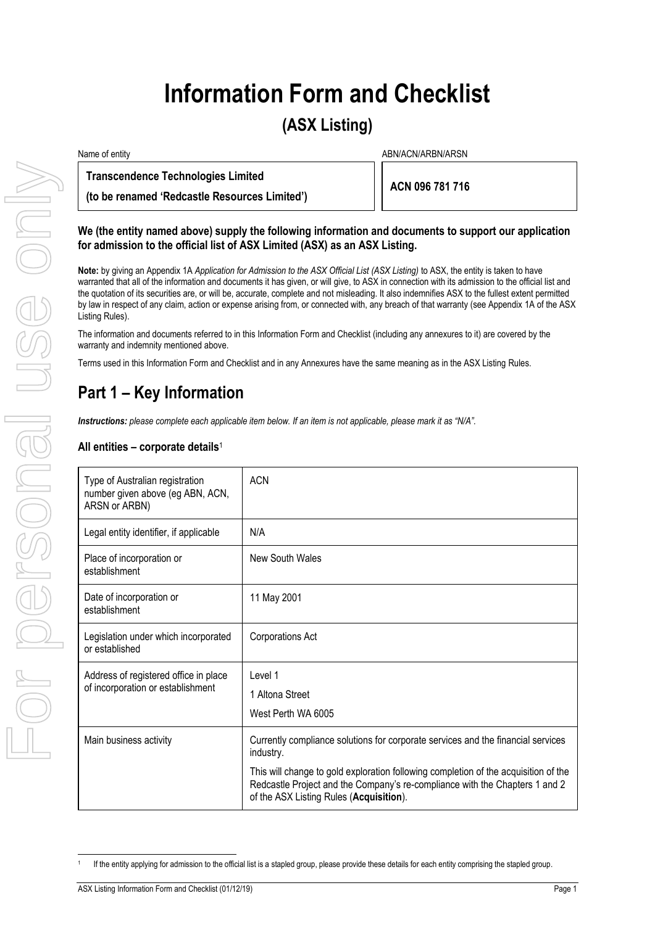# **Information Form and Checklist**

# **(ASX Listing)**

| Name of entity                                | ABN/ACN/ARBN/ARSN |  |
|-----------------------------------------------|-------------------|--|
| <b>Transcendence Technologies Limited</b>     | ACN 096 781 716   |  |
| (to be renamed 'Redcastle Resources Limited') |                   |  |

#### **We (the entity named above) supply the following information and documents to support our application for admission to the official list of ASX Limited (ASX) as an ASX Listing.**

# **Part 1 – Key Information**

### **All entities – corporate details**<sup>1</sup>

| <b>Transcendence Technologies Limited</b><br>(to be renamed 'Redcastle Resources Limited')                                                                                                                                                                                                                                                                                                                                                                                                                                                                                                                  |                                         |  | ACN 096 781 716                                                                                                                                                    |
|-------------------------------------------------------------------------------------------------------------------------------------------------------------------------------------------------------------------------------------------------------------------------------------------------------------------------------------------------------------------------------------------------------------------------------------------------------------------------------------------------------------------------------------------------------------------------------------------------------------|-----------------------------------------|--|--------------------------------------------------------------------------------------------------------------------------------------------------------------------|
| We (the entity named above) supply the following information and documents to support our application<br>for admission to the official list of ASX Limited (ASX) as an ASX Listing.                                                                                                                                                                                                                                                                                                                                                                                                                         |                                         |  |                                                                                                                                                                    |
| Note: by giving an Appendix 1A Application for Admission to the ASX Official List (ASX Listing) to ASX, the entity is taken to have<br>warranted that all of the information and documents it has given, or will give, to ASX in connection with its admission to the official list and<br>the quotation of its securities are, or will be, accurate, complete and not misleading. It also indemnifies ASX to the fullest extent permitted<br>by law in respect of any claim, action or expense arising from, or connected with, any breach of that warranty (see Appendix 1A of the ASX<br>Listing Rules). |                                         |  |                                                                                                                                                                    |
| warranty and indemnity mentioned above.                                                                                                                                                                                                                                                                                                                                                                                                                                                                                                                                                                     |                                         |  | The information and documents referred to in this Information Form and Checklist (including any annexures to it) are covered by the                                |
| Terms used in this Information Form and Checklist and in any Annexures have the same meaning as in the ASX Listing Rules.                                                                                                                                                                                                                                                                                                                                                                                                                                                                                   |                                         |  |                                                                                                                                                                    |
| Part 1 – Key Information                                                                                                                                                                                                                                                                                                                                                                                                                                                                                                                                                                                    |                                         |  |                                                                                                                                                                    |
| Instructions: please complete each applicable item below. If an item is not applicable, please mark it as "N/A".                                                                                                                                                                                                                                                                                                                                                                                                                                                                                            |                                         |  |                                                                                                                                                                    |
| All entities – corporate details <sup>1</sup>                                                                                                                                                                                                                                                                                                                                                                                                                                                                                                                                                               |                                         |  |                                                                                                                                                                    |
| Type of Australian registration<br>number given above (eg ABN, ACN,<br>ARSN or ARBN)                                                                                                                                                                                                                                                                                                                                                                                                                                                                                                                        | <b>ACN</b>                              |  |                                                                                                                                                                    |
| Legal entity identifier, if applicable                                                                                                                                                                                                                                                                                                                                                                                                                                                                                                                                                                      | N/A                                     |  |                                                                                                                                                                    |
| Place of incorporation or<br>establishment                                                                                                                                                                                                                                                                                                                                                                                                                                                                                                                                                                  | <b>New South Wales</b>                  |  |                                                                                                                                                                    |
| Date of incorporation or<br>establishment                                                                                                                                                                                                                                                                                                                                                                                                                                                                                                                                                                   | 11 May 2001                             |  |                                                                                                                                                                    |
| Legislation under which incorporated<br>or established                                                                                                                                                                                                                                                                                                                                                                                                                                                                                                                                                      | <b>Corporations Act</b>                 |  |                                                                                                                                                                    |
| Address of registered office in place<br>of incorporation or establishment                                                                                                                                                                                                                                                                                                                                                                                                                                                                                                                                  | Level 1                                 |  |                                                                                                                                                                    |
|                                                                                                                                                                                                                                                                                                                                                                                                                                                                                                                                                                                                             | 1 Altona Street<br>West Perth WA 6005   |  |                                                                                                                                                                    |
|                                                                                                                                                                                                                                                                                                                                                                                                                                                                                                                                                                                                             |                                         |  |                                                                                                                                                                    |
| Main business activity                                                                                                                                                                                                                                                                                                                                                                                                                                                                                                                                                                                      | industry.                               |  | Currently compliance solutions for corporate services and the financial services                                                                                   |
|                                                                                                                                                                                                                                                                                                                                                                                                                                                                                                                                                                                                             | of the ASX Listing Rules (Acquisition). |  | This will change to gold exploration following completion of the acquisition of the<br>Redcastle Project and the Company's re-compliance with the Chapters 1 and 2 |
|                                                                                                                                                                                                                                                                                                                                                                                                                                                                                                                                                                                                             |                                         |  | If the entity applying for admission to the official list is a stapled group, please provide these details for each entity comprising the stapled group.           |

<sup>1</sup>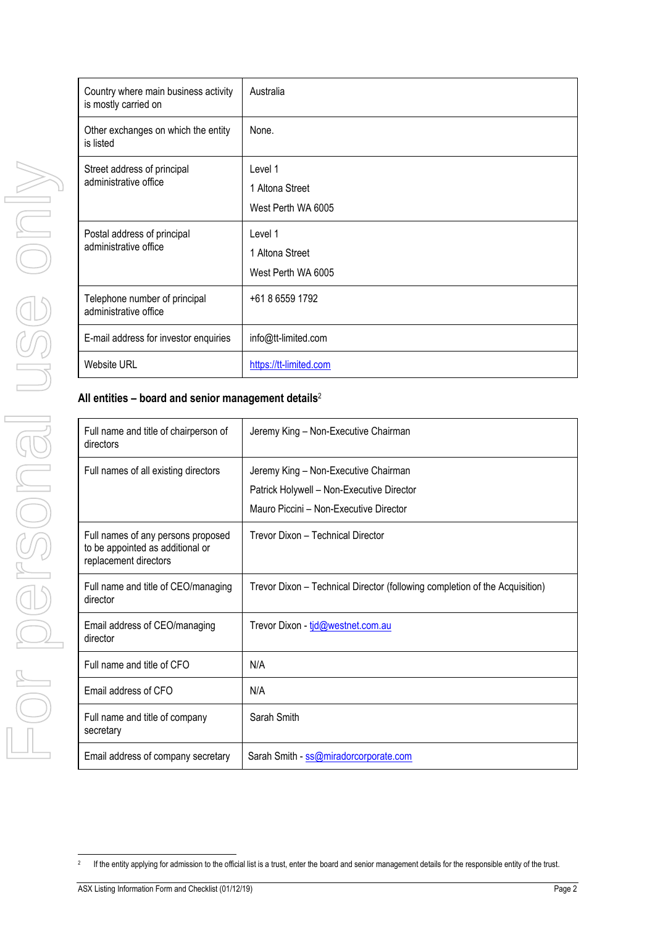| Country where main business activity<br>is mostly carried on | Australia                                        |
|--------------------------------------------------------------|--------------------------------------------------|
| Other exchanges on which the entity<br>is listed             | None.                                            |
| Street address of principal<br>administrative office         | Level 1<br>1 Altona Street<br>West Perth WA 6005 |
| Postal address of principal<br>administrative office         | Level 1<br>1 Altona Street<br>West Perth WA 6005 |
| Telephone number of principal<br>administrative office       | +61 8 6559 1792                                  |
| E-mail address for investor enquiries                        | info@tt-limited.com                              |
| Website URL                                                  | https://tt-limited.com                           |

# **All entities – board and senior management details**<sup>2</sup>

|                                                                   | Street address of principal<br>administrative office                                            | Level 1<br>1 Altona Street<br>West Perth WA 6005                                                                            |
|-------------------------------------------------------------------|-------------------------------------------------------------------------------------------------|-----------------------------------------------------------------------------------------------------------------------------|
|                                                                   | Postal address of principal<br>administrative office                                            | Level 1<br>1 Altona Street<br>West Perth WA 6005                                                                            |
|                                                                   | Telephone number of principal<br>administrative office                                          | +61 8 6559 1792                                                                                                             |
|                                                                   | E-mail address for investor enquiries                                                           | info@tt-limited.com                                                                                                         |
|                                                                   | <b>Website URL</b>                                                                              | https://tt-limited.com                                                                                                      |
|                                                                   | All entities $-$ board and senior management details <sup>2</sup>                               |                                                                                                                             |
|                                                                   | Full name and title of chairperson of<br>directors                                              | Jeremy King - Non-Executive Chairman                                                                                        |
| $\begin{array}{c} \hline \hline \hline \hline \hline \end{array}$ | Full names of all existing directors                                                            | Jeremy King - Non-Executive Chairman<br>Patrick Holywell - Non-Executive Director<br>Mauro Piccini - Non-Executive Director |
|                                                                   | Full names of any persons proposed<br>to be appointed as additional or<br>replacement directors | Trevor Dixon - Technical Director                                                                                           |
|                                                                   | Full name and title of CEO/managing<br>director                                                 | Trevor Dixon - Technical Director (following completion of the Acquisition)                                                 |
|                                                                   | Email address of CEO/managing<br>director                                                       | Trevor Dixon - tid@westnet.com.au                                                                                           |
|                                                                   | Full name and title of CFO                                                                      | N/A                                                                                                                         |
|                                                                   | Email address of CFO                                                                            | N/A                                                                                                                         |
|                                                                   | Full name and title of company<br>secretary                                                     | Sarah Smith                                                                                                                 |
|                                                                   | Email address of company secretary                                                              | Sarah Smith - ss@miradorcorporate.com                                                                                       |

<sup>2</sup>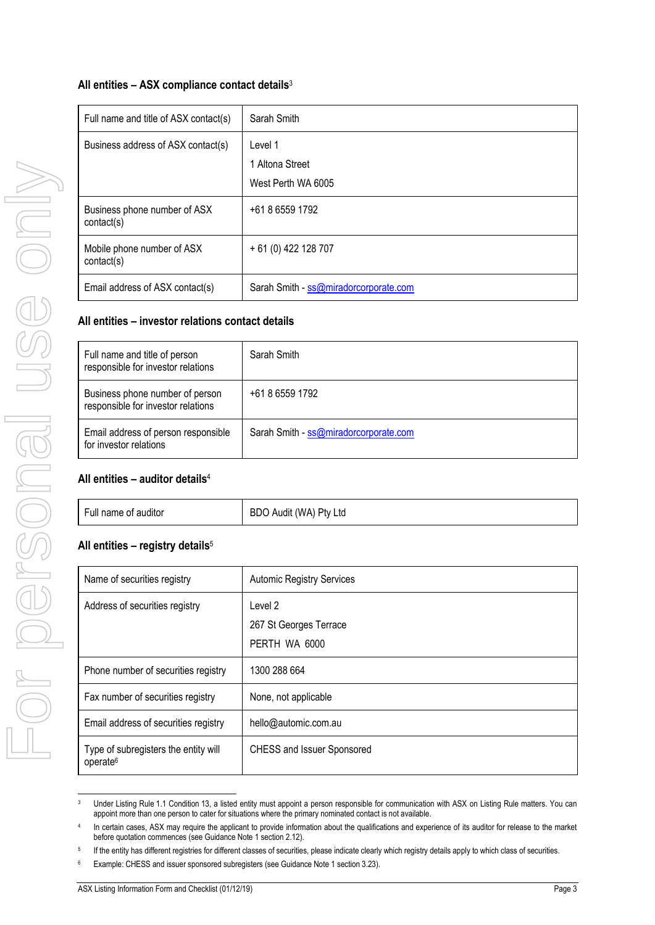# **All entities – ASX compliance contact details**<sup>3</sup>

| Full name and title of ASX contact(s)      | Sarah Smith                                      |
|--------------------------------------------|--------------------------------------------------|
| Business address of ASX contact(s)         | Level 1<br>1 Altona Street<br>West Perth WA 6005 |
| Business phone number of ASX<br>contact(s) | +61 8 6559 1792                                  |
| Mobile phone number of ASX<br>contact(s)   | + 61 (0) 422 128 707                             |
| Email address of ASX contact(s)            | Sarah Smith - ss@miradorcorporate.com            |

### **All entities – investor relations contact details**

| Full name and title of person<br>responsible for investor relations   | Sarah Smith                           |
|-----------------------------------------------------------------------|---------------------------------------|
| Business phone number of person<br>responsible for investor relations | +61 8 6559 1792                       |
| Email address of person responsible<br>for investor relations         | Sarah Smith - ss@miradorcorporate.com |

# **All entities – auditor details**<sup>4</sup>

| Full name of auditor | BDO Audit (WA) Pty Ltd |
|----------------------|------------------------|
|----------------------|------------------------|

# **All entities – registry details**<sup>5</sup>

|                                                                       | West Perth WA 6005                      |
|-----------------------------------------------------------------------|-----------------------------------------|
| Business phone number of ASX<br>contact(s)                            | +61 8 6559 1792                         |
| Mobile phone number of ASX<br>contact(s)                              | + 61 (0) 422 128 707                    |
| Email address of ASX contact(s)                                       | Sarah Smith - ss@miradorcorporate.com   |
| All entities - investor relations contact details                     |                                         |
| Full name and title of person<br>responsible for investor relations   | Sarah Smith                             |
| Business phone number of person<br>responsible for investor relations | +61 8 6559 1792                         |
| Email address of person responsible<br>for investor relations         | Sarah Smith - ss@miradorcorporate.com   |
| All entities $-$ auditor details <sup>4</sup>                         |                                         |
| Full name of auditor                                                  | BDO Audit (WA) Pty Ltd                  |
| All entities – registry details $5$                                   |                                         |
| Name of securities registry                                           | <b>Automic Registry Services</b>        |
| Address of securities registry                                        | Level 2                                 |
|                                                                       | 267 St Georges Terrace<br>PERTH WA 6000 |
| Phone number of securities registry                                   | 1300 288 664                            |
| Fax number of securities registry                                     | None, not applicable                    |
| Email address of securities registry                                  | hello@automic.com.au                    |
| Type of subregisters the entity will                                  | CHESS and Issuer Sponsored              |
| operate <sup>6</sup>                                                  |                                         |

<sup>&</sup>lt;sup>3</sup> Under Listing Rule 1.1 Condition 13, a listed entity must appoint a person responsible for communication with ASX on Listing Rule matters. You can appoint more than one person to cater for situations where the primary nominated contact is not available.

<sup>4</sup> In certain cases, ASX may require the applicant to provide information about the qualifications and experience of its auditor for release to the market before quotation commences (see Guidance Note 1 section 2.12).

<sup>5</sup> If the entity has different registries for different classes of securities, please indicate clearly which registry details apply to which class of securities.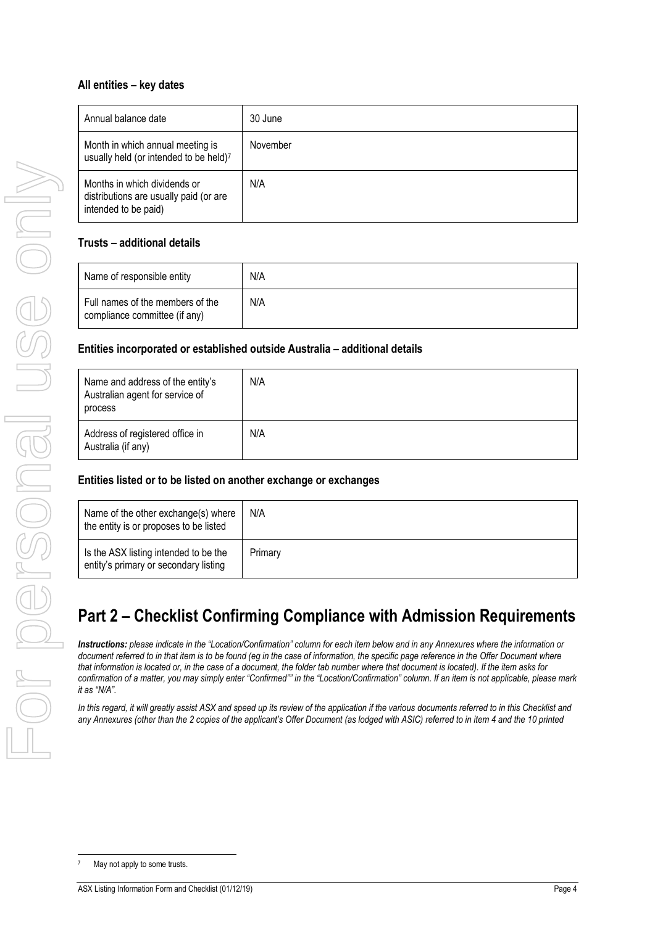# **All entities – key dates**

| Annual balance date                                                                            | 30 June  |
|------------------------------------------------------------------------------------------------|----------|
| Month in which annual meeting is<br>usually held (or intended to be held)7                     | November |
| Months in which dividends or<br>distributions are usually paid (or are<br>intended to be paid) | N/A      |

# **Trusts – additional details**

| Name of responsible entity                                        | N/A |
|-------------------------------------------------------------------|-----|
| Full names of the members of the<br>compliance committee (if any) | N/A |

### **Entities incorporated or established outside Australia – additional details**

| Name and address of the entity's<br>Australian agent for service of<br>process | N/A |
|--------------------------------------------------------------------------------|-----|
| Address of registered office in<br>Australia (if any)                          | N/A |

# **Entities listed or to be listed on another exchange or exchanges**

| Name of the other exchange(s) where<br>the entity is or proposes to be listed  | N/A     |
|--------------------------------------------------------------------------------|---------|
| Is the ASX listing intended to be the<br>entity's primary or secondary listing | Primary |

# **Part 2 – Checklist Confirming Compliance with Admission Requirements**

*Instructions: please indicate in the "Location/Confirmation" column for each item below and in any Annexures where the information or document referred to in that item is to be found (eg in the case of information, the specific page reference in the Offer Document where that information is located or, in the case of a document, the folder tab number where that document is located). If the item asks for confirmation of a matter, you may simply enter "Confirmed"" in the "Location/Confirmation" column. If an item is not applicable, please mark it as "N/A".*

In this regard, it will greatly assist ASX and speed up its review of the application if the various documents referred to in this Checklist and *any Annexures (other than the 2 copies of the applicant's Offer Document (as lodged with ASIC) referred to in item [4](#page-4-0) and the 10 printed*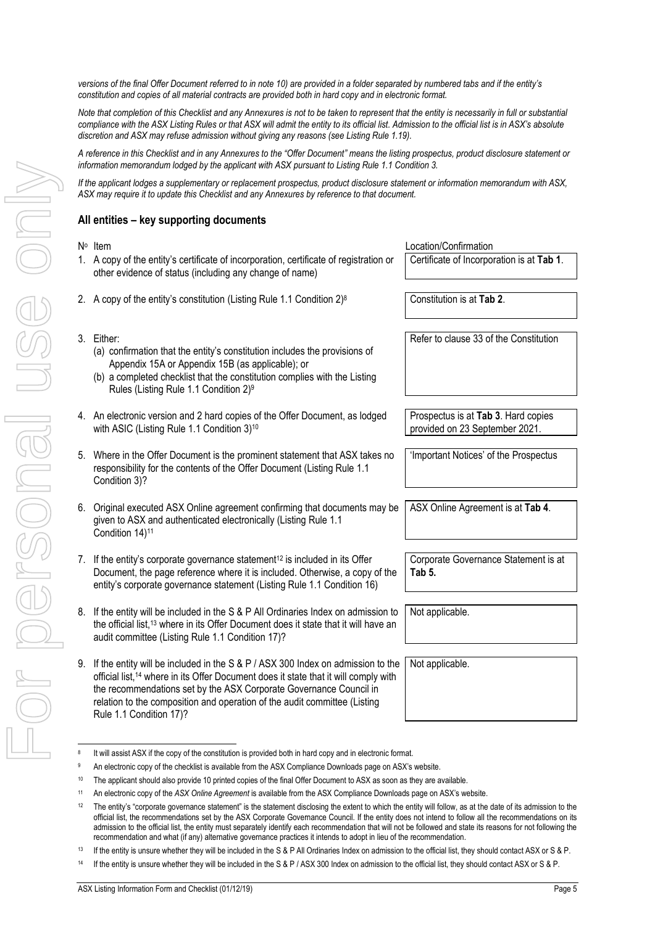*versions of the final Offer Document referred to in note [10\)](#page-4-1) are provided in a folder separated by numbered tabs and if the entity's constitution and copies of all material contracts are provided both in hard copy and in electronic format.*

*Note that completion of this Checklist and any Annexures is not to be taken to represent that the entity is necessarily in full or substantial compliance with the ASX Listing Rules or that ASX will admit the entity to its official list. Admission to the official list is in ASX's absolute discretion and ASX may refuse admission without giving any reasons (see Listing Rule 1.19).*

*A reference in this Checklist and in any Annexures to the "Offer Document" means the listing prospectus, product disclosure statement or information memorandum lodged by the applicant with ASX pursuant to Listing Rule 1.1 Condition 3.*

*If the applicant lodges a supplementary or replacement prospectus, product disclosure statement or information memorandum with ASX, ASX may require it to update this Checklist and any Annexures by reference to that document.*

### **All entities – key supporting documents**

<span id="page-4-1"></span><span id="page-4-0"></span>

| N° Item                                                                                                                                                                                                                                                                                                                                                             | Location/Confirmation                                                 |
|---------------------------------------------------------------------------------------------------------------------------------------------------------------------------------------------------------------------------------------------------------------------------------------------------------------------------------------------------------------------|-----------------------------------------------------------------------|
| 1. A copy of the entity's certificate of incorporation, certificate of registration or<br>other evidence of status (including any change of name)                                                                                                                                                                                                                   | Certificate of Incorporation is at Tab 1.                             |
| 2. A copy of the entity's constitution (Listing Rule 1.1 Condition 2) <sup>8</sup>                                                                                                                                                                                                                                                                                  | Constitution is at Tab 2.                                             |
| 3. Either:<br>(a) confirmation that the entity's constitution includes the provisions of<br>Appendix 15A or Appendix 15B (as applicable); or<br>(b) a completed checklist that the constitution complies with the Listing<br>Rules (Listing Rule 1.1 Condition 2) <sup>9</sup>                                                                                      | Refer to clause 33 of the Constitution                                |
| 4. An electronic version and 2 hard copies of the Offer Document, as lodged<br>with ASIC (Listing Rule 1.1 Condition 3) <sup>10</sup>                                                                                                                                                                                                                               | Prospectus is at Tab 3. Hard copies<br>provided on 23 September 2021. |
| 5. Where in the Offer Document is the prominent statement that ASX takes no<br>responsibility for the contents of the Offer Document (Listing Rule 1.1<br>Condition 3)?                                                                                                                                                                                             | 'Important Notices' of the Prospectus                                 |
| 6. Original executed ASX Online agreement confirming that documents may be<br>given to ASX and authenticated electronically (Listing Rule 1.1<br>Condition 14) <sup>11</sup>                                                                                                                                                                                        | ASX Online Agreement is at Tab 4.                                     |
| 7. If the entity's corporate governance statement <sup>12</sup> is included in its Offer<br>Document, the page reference where it is included. Otherwise, a copy of the<br>entity's corporate governance statement (Listing Rule 1.1 Condition 16)                                                                                                                  | Corporate Governance Statement is at<br>Tab 5.                        |
| 8. If the entity will be included in the S & P All Ordinaries Index on admission to<br>the official list, <sup>13</sup> where in its Offer Document does it state that it will have an<br>audit committee (Listing Rule 1.1 Condition 17)?                                                                                                                          | Not applicable.                                                       |
| 9. If the entity will be included in the S & P / ASX 300 Index on admission to the<br>official list, <sup>14</sup> where in its Offer Document does it state that it will comply with<br>the recommendations set by the ASX Corporate Governance Council in<br>relation to the composition and operation of the audit committee (Listing<br>Rule 1.1 Condition 17)? | Not applicable.                                                       |

For personal use only VIIOS PSSONSE USS ON

<sup>8</sup> It will assist ASX if the copy of the constitution is provided both in hard copy and in electronic format.

<sup>9</sup> An electronic copy of the checklist is available from the ASX Compliance Downloads page on ASX's website.

<sup>&</sup>lt;sup>10</sup> The applicant should also provide 10 printed copies of the final Offer Document to ASX as soon as they are available.

<sup>11</sup> An electronic copy of the *ASX Online Agreement* is available from the ASX Compliance Downloads page on ASX's website.

<sup>&</sup>lt;sup>12</sup> The entity's "corporate governance statement" is the statement disclosing the extent to which the entity will follow, as at the date of its admission to the official list, the recommendations set by the ASX Corporate Governance Council. If the entity does not intend to follow all the recommendations on its admission to the official list, the entity must separately identify each recommendation that will not be followed and state its reasons for not following the recommendation and what (if any) alternative governance practices it intends to adopt in lieu of the recommendation.

<sup>&</sup>lt;sup>13</sup> If the entity is unsure whether they will be included in the S & P All Ordinaries Index on admission to the official list, they should contact ASX or S & P.

<sup>&</sup>lt;sup>14</sup> If the entity is unsure whether they will be included in the S & P / ASX 300 Index on admission to the official list, they should contact ASX or S & P.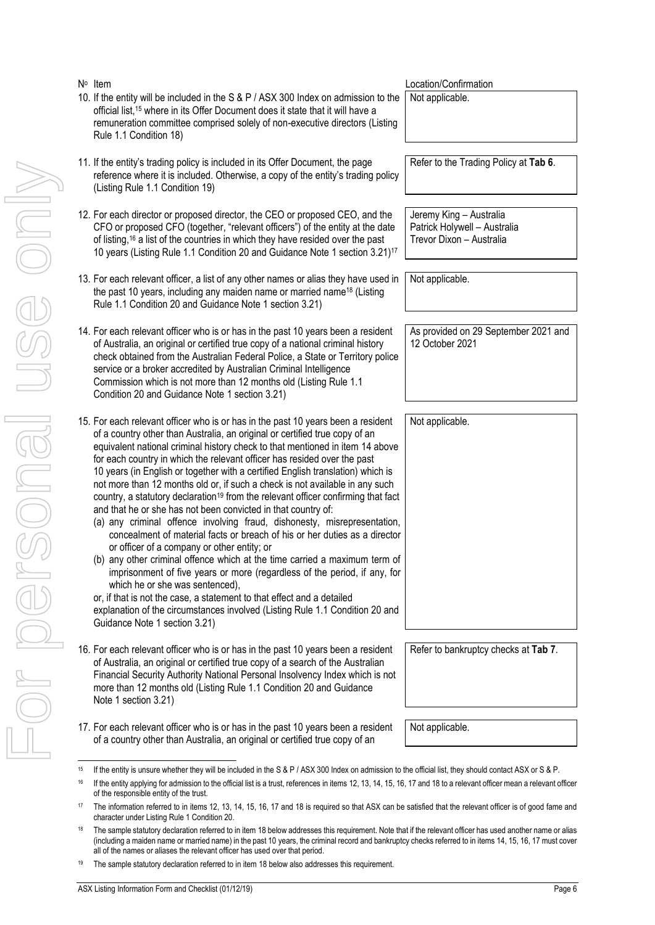<span id="page-5-3"></span><span id="page-5-2"></span><span id="page-5-1"></span><span id="page-5-0"></span>

|    | N° Item                                                                                                                                                                                                                                                                                                                                                                                                                                                                                                                                                                                                                                                                                                                                                                                                                                                                                                                                                                                                                                                                                                                                                                                                                                                             | Location/Confirmation                                                               |
|----|---------------------------------------------------------------------------------------------------------------------------------------------------------------------------------------------------------------------------------------------------------------------------------------------------------------------------------------------------------------------------------------------------------------------------------------------------------------------------------------------------------------------------------------------------------------------------------------------------------------------------------------------------------------------------------------------------------------------------------------------------------------------------------------------------------------------------------------------------------------------------------------------------------------------------------------------------------------------------------------------------------------------------------------------------------------------------------------------------------------------------------------------------------------------------------------------------------------------------------------------------------------------|-------------------------------------------------------------------------------------|
|    | 10. If the entity will be included in the S & P / ASX 300 Index on admission to the<br>official list, <sup>15</sup> where in its Offer Document does it state that it will have a<br>remuneration committee comprised solely of non-executive directors (Listing<br>Rule 1.1 Condition 18)                                                                                                                                                                                                                                                                                                                                                                                                                                                                                                                                                                                                                                                                                                                                                                                                                                                                                                                                                                          | Not applicable.                                                                     |
|    | 11. If the entity's trading policy is included in its Offer Document, the page<br>reference where it is included. Otherwise, a copy of the entity's trading policy<br>(Listing Rule 1.1 Condition 19)                                                                                                                                                                                                                                                                                                                                                                                                                                                                                                                                                                                                                                                                                                                                                                                                                                                                                                                                                                                                                                                               | Refer to the Trading Policy at Tab 6.                                               |
|    | 12. For each director or proposed director, the CEO or proposed CEO, and the<br>CFO or proposed CFO (together, "relevant officers") of the entity at the date<br>of listing, <sup>16</sup> a list of the countries in which they have resided over the past<br>10 years (Listing Rule 1.1 Condition 20 and Guidance Note 1 section 3.21) <sup>17</sup>                                                                                                                                                                                                                                                                                                                                                                                                                                                                                                                                                                                                                                                                                                                                                                                                                                                                                                              | Jeremy King - Australia<br>Patrick Holywell - Australia<br>Trevor Dixon - Australia |
|    | 13. For each relevant officer, a list of any other names or alias they have used in<br>the past 10 years, including any maiden name or married name <sup>18</sup> (Listing<br>Rule 1.1 Condition 20 and Guidance Note 1 section 3.21)                                                                                                                                                                                                                                                                                                                                                                                                                                                                                                                                                                                                                                                                                                                                                                                                                                                                                                                                                                                                                               | Not applicable.                                                                     |
|    | 14. For each relevant officer who is or has in the past 10 years been a resident<br>of Australia, an original or certified true copy of a national criminal history<br>check obtained from the Australian Federal Police, a State or Territory police<br>service or a broker accredited by Australian Criminal Intelligence<br>Commission which is not more than 12 months old (Listing Rule 1.1)<br>Condition 20 and Guidance Note 1 section 3.21)                                                                                                                                                                                                                                                                                                                                                                                                                                                                                                                                                                                                                                                                                                                                                                                                                 | As provided on 29 September 2021 and<br>12 October 2021                             |
|    | 15. For each relevant officer who is or has in the past 10 years been a resident<br>of a country other than Australia, an original or certified true copy of an<br>equivalent national criminal history check to that mentioned in item 14 above<br>for each country in which the relevant officer has resided over the past<br>10 years (in English or together with a certified English translation) which is<br>not more than 12 months old or, if such a check is not available in any such<br>country, a statutory declaration <sup>19</sup> from the relevant officer confirming that fact<br>and that he or she has not been convicted in that country of:<br>(a) any criminal offence involving fraud, dishonesty, misrepresentation,<br>concealment of material facts or breach of his or her duties as a director<br>or officer of a company or other entity; or<br>(b) any other criminal offence which at the time carried a maximum term of<br>imprisonment of five years or more (regardless of the period, if any, for<br>which he or she was sentenced),<br>or, if that is not the case, a statement to that effect and a detailed<br>explanation of the circumstances involved (Listing Rule 1.1 Condition 20 and<br>Guidance Note 1 section 3.21) | Not applicable.                                                                     |
|    | 16. For each relevant officer who is or has in the past 10 years been a resident<br>of Australia, an original or certified true copy of a search of the Australian<br>Financial Security Authority National Personal Insolvency Index which is not<br>more than 12 months old (Listing Rule 1.1 Condition 20 and Guidance<br>Note 1 section 3.21)                                                                                                                                                                                                                                                                                                                                                                                                                                                                                                                                                                                                                                                                                                                                                                                                                                                                                                                   | Refer to bankruptcy checks at Tab 7.                                                |
|    | 17. For each relevant officer who is or has in the past 10 years been a resident<br>of a country other than Australia, an original or certified true copy of an                                                                                                                                                                                                                                                                                                                                                                                                                                                                                                                                                                                                                                                                                                                                                                                                                                                                                                                                                                                                                                                                                                     | Not applicable.                                                                     |
| 15 | If the entity is unsure whether they will be included in the S & P / ASX 300 Index on admission to the official list, they should contact ASX or S & P.                                                                                                                                                                                                                                                                                                                                                                                                                                                                                                                                                                                                                                                                                                                                                                                                                                                                                                                                                                                                                                                                                                             |                                                                                     |
| 16 | If the entity applying for admission to the official list is a trust, references in items 12, 13, 14, 15, 16, 17 and 18 to a relevant officer mean a relevant offic                                                                                                                                                                                                                                                                                                                                                                                                                                                                                                                                                                                                                                                                                                                                                                                                                                                                                                                                                                                                                                                                                                 |                                                                                     |
| 17 | of the responsible entity of the trust.<br>The information referred to in items 12, 13, 14, 15, 16, 17 and 18 is required so that ASX can be satisfied that the relevant officer is of good fame ar<br>character under Listing Rule 1 Condition 20.                                                                                                                                                                                                                                                                                                                                                                                                                                                                                                                                                                                                                                                                                                                                                                                                                                                                                                                                                                                                                 |                                                                                     |
| 18 | The sample statutory declaration referred to in item 18 below addresses this requirement. Note that if the relevant officer has used another name or ali<br>(including a maiden name or married name) in the past 10 years, the criminal record and bankruptcy checks referred to in items 14, 15, 16, 17 must cov<br>all of the names or aliases the relevant officer has used over that period.                                                                                                                                                                                                                                                                                                                                                                                                                                                                                                                                                                                                                                                                                                                                                                                                                                                                   |                                                                                     |
| 19 | The sample statutory declaration referred to in item 18 below also addresses this requirement.                                                                                                                                                                                                                                                                                                                                                                                                                                                                                                                                                                                                                                                                                                                                                                                                                                                                                                                                                                                                                                                                                                                                                                      |                                                                                     |

<span id="page-5-5"></span><span id="page-5-4"></span><sup>&</sup>lt;sup>16</sup> If the entity applying for admission to the official list is a trust, references in items [12,](#page-5-1) [13,](#page-5-2) [14,](#page-5-0) [15,](#page-5-3) [16,](#page-5-4) [17](#page-5-5) an[d 18](#page-6-0) to a relevant officer mean a relevant officer of the responsible entity of the trust.

<sup>&</sup>lt;sup>17</sup> The information referred to in items [12,](#page-5-1) [13,](#page-5-2) [14,](#page-5-0) [15,](#page-5-3) [16,](#page-5-4) [17](#page-5-5) an[d 18](#page-6-0) is required so that ASX can be satisfied that the relevant officer is of good fame and character under Listing Rule 1 Condition 20.

<sup>&</sup>lt;sup>[18](#page-6-0)</sup> The sample statutory declaration referred to in item 18 below addresses this requirement. Note that if the relevant officer has used another name or alias (including a maiden name or married name) in the past 10 years, the criminal record and bankruptcy checks referred to in items [14,](#page-5-0) [15,](#page-5-3) [16,](#page-5-4) [17](#page-5-5) must cover all of the names or aliases the relevant officer has used over that period.

ASX Listing Information Form and Checklist (01/12/19) **Page 6 Page 6**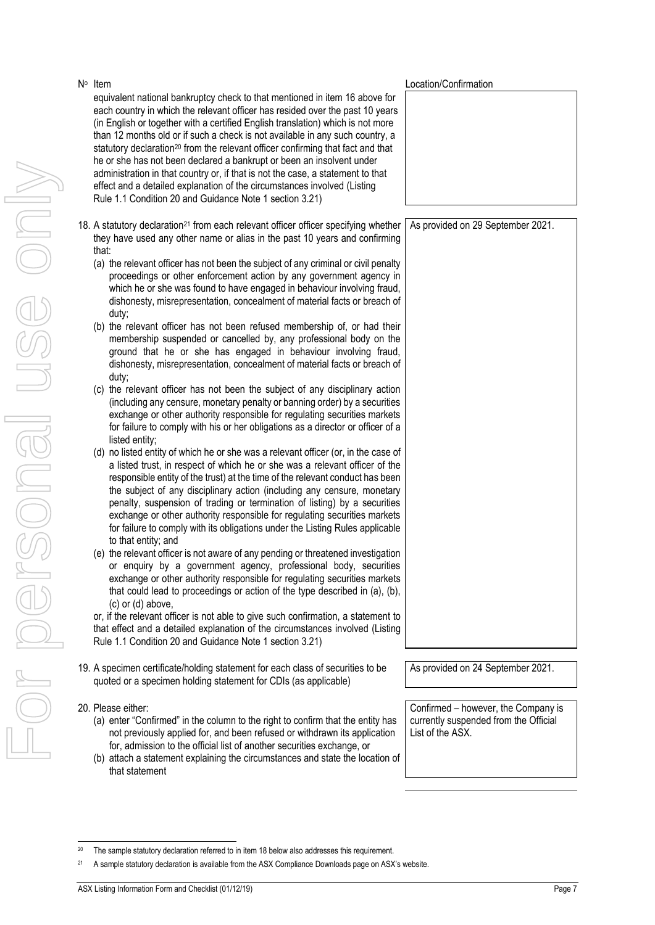- For personal use only Moersonal use onn
- N<sup>o</sup> Item equivalent national bankruptcy check to that mentioned in item [16](#page-5-4) above for each country in which the relevant officer has resided over the past 10 years (in English or together with a certified English translation) which is not more than 12 months old or if such a check is not available in any such country, a statutory declaration<sup>20</sup> from the relevant officer confirming that fact and that he or she has not been declared a bankrupt or been an insolvent under administration in that country or, if that is not the case, a statement to that effect and a detailed explanation of the circumstances involved (Listing Rule 1.1 Condition 20 and Guidance Note 1 section 3.21)
- <span id="page-6-0"></span>18. A statutory declaration<sup>21</sup> from each relevant officer officer specifying whether they have used any other name or alias in the past 10 years and confirming that:
	- (a) the relevant officer has not been the subject of any criminal or civil penalty proceedings or other enforcement action by any government agency in which he or she was found to have engaged in behaviour involving fraud, dishonesty, misrepresentation, concealment of material facts or breach of duty;
	- (b) the relevant officer has not been refused membership of, or had their membership suspended or cancelled by, any professional body on the ground that he or she has engaged in behaviour involving fraud, dishonesty, misrepresentation, concealment of material facts or breach of duty;
	- (c) the relevant officer has not been the subject of any disciplinary action (including any censure, monetary penalty or banning order) by a securities exchange or other authority responsible for regulating securities markets for failure to comply with his or her obligations as a director or officer of a listed entity;
	- (d) no listed entity of which he or she was a relevant officer (or, in the case of a listed trust, in respect of which he or she was a relevant officer of the responsible entity of the trust) at the time of the relevant conduct has been the subject of any disciplinary action (including any censure, monetary penalty, suspension of trading or termination of listing) by a securities exchange or other authority responsible for regulating securities markets for failure to comply with its obligations under the Listing Rules applicable to that entity; and
	- (e) the relevant officer is not aware of any pending or threatened investigation or enquiry by a government agency, professional body, securities exchange or other authority responsible for regulating securities markets that could lead to proceedings or action of the type described in (a), (b), (c) or (d) above,

or, if the relevant officer is not able to give such confirmation, a statement to that effect and a detailed explanation of the circumstances involved (Listing Rule 1.1 Condition 20 and Guidance Note 1 section 3.21)

- 19. A specimen certificate/holding statement for each class of securities to be quoted or a specimen holding statement for CDIs (as applicable)
- 20. Please either:
	- (a) enter "Confirmed" in the column to the right to confirm that the entity has not previously applied for, and been refused or withdrawn its application for, admission to the official list of another securities exchange, or
	- (b) attach a statement explaining the circumstances and state the location of that statement

As provided on 24 September 2021.

Confirmed – however, the Company is currently suspended from the Official List of the ASX.

As provided on 29 September 2021.

Location/Confirmation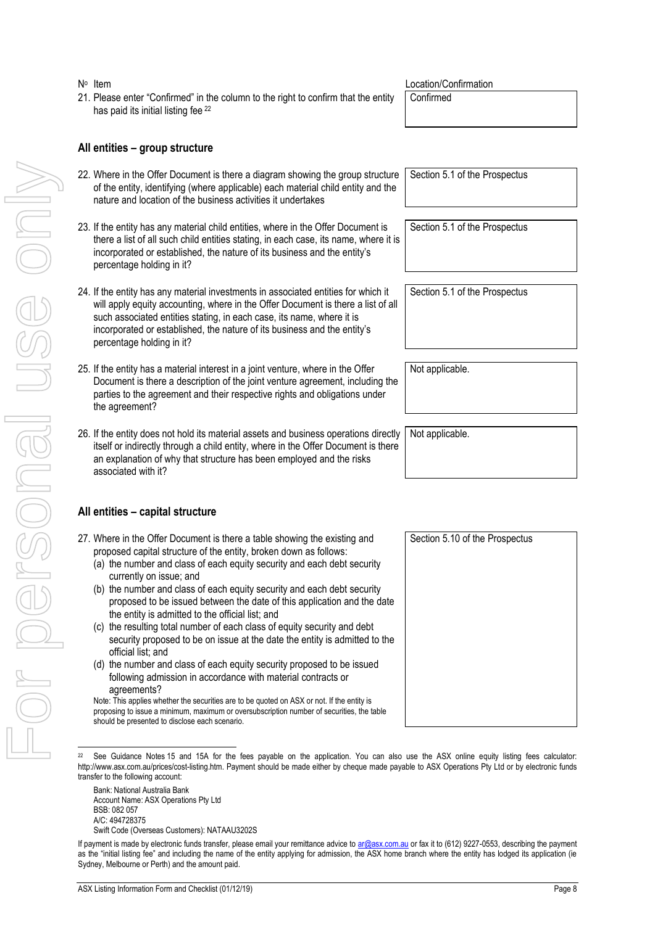#### N<sup>o</sup> Item

21. Please enter "Confirmed" in the column to the right to confirm that the entity has paid its initial listing fee <sup>22</sup>

Location/Confirmation

Confirmed

### **All entities – group structure**

- 22. Where in the Offer Document is there a diagram showing the group structure of the entity, identifying (where applicable) each material child entity and the nature and location of the business activities it undertakes
- 23. If the entity has any material child entities, where in the Offer Document is there a list of all such child entities stating, in each case, its name, where it is incorporated or established, the nature of its business and the entity's percentage holding in it?
- 24. If the entity has any material investments in associated entities for which it will apply equity accounting, where in the Offer Document is there a list of all such associated entities stating, in each case, its name, where it is incorporated or established, the nature of its business and the entity's percentage holding in it?
- 25. If the entity has a material interest in a joint venture, where in the Offer Document is there a description of the joint venture agreement, including the parties to the agreement and their respective rights and obligations under the agreement?
- 26. If the entity does not hold its material assets and business operations directly itself or indirectly through a child entity, where in the Offer Document is there an explanation of why that structure has been employed and the risks associated with it?

# **All entities – capital structure**

- <span id="page-7-0"></span>27. Where in the Offer Document is there a table showing the existing and proposed capital structure of the entity, broken down as follows:
	- (a) the number and class of each equity security and each debt security currently on issue; and
	- (b) the number and class of each equity security and each debt security proposed to be issued between the date of this application and the date the entity is admitted to the official list; and
	- (c) the resulting total number of each class of equity security and debt security proposed to be on issue at the date the entity is admitted to the official list; and
	- (d) the number and class of each equity security proposed to be issued following admission in accordance with material contracts or agreements?

Note: This applies whether the securities are to be quoted on ASX or not. If the entity is proposing to issue a minimum, maximum or oversubscription number of securities, the table should be presented to disclose each scenario.

Bank: National Australia Bank Account Name: ASX Operations Pty Ltd BSB: 082 057 A/C: 494728375

Swift Code (Overseas Customers): NATAAU3202S

Section 5.1 of the Prospectus

Section 5.1 of the Prospectus

Not applicable.

Not applicable.

Section 5.10 of the Prospectus

See Guidance Notes 15 and 15A for the fees payable on the application. You can also use the ASX online equity listing fees calculator: http://www.asx.com.au/prices/cost-listing.htm. Payment should be made either by cheque made payable to ASX Operations Pty Ltd or by electronic funds transfer to the following account:

If payment is made by electronic funds transfer, please email your remittance advice t[o ar@asx.com.au](mailto:ar@asx.com.au) or fax it to (612) 9227-0553, describing the payment as the "initial listing fee" and including the name of the entity applying for admission, the ASX home branch where the entity has lodged its application (ie Sydney, Melbourne or Perth) and the amount paid.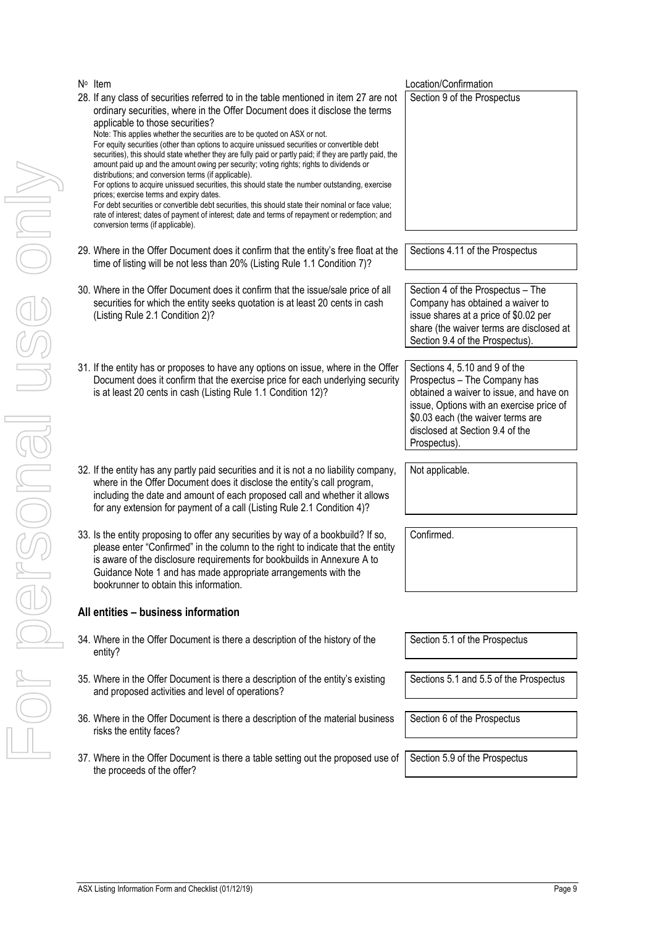Section 5.1 of the Prospectus

Sections 5.1 and 5.5 of the Prospectus

Section 6 of the Prospectus

Location/Confirmation

Section 9 of the Prospectus

Sections 4.11 of the Prospectus

Section 4 of the Prospectus – The Company has obtained a waiver to issue shares at a price of \$0.02 per share (the waiver terms are disclosed at

Section 9.4 of the Prospectus).

Sections 4, 5.10 and 9 of the Prospectus – The Company has obtained a waiver to issue, and have on issue, Options with an exercise price of \$0.03 each (the waiver terms are disclosed at Section 9.4 of the

Prospectus).

Not applicable.

Confirmed.

Section 5.9 of the Prospectus

ASX Listing Information Form and Checklist (01/12/19) **Page 9 Page 9**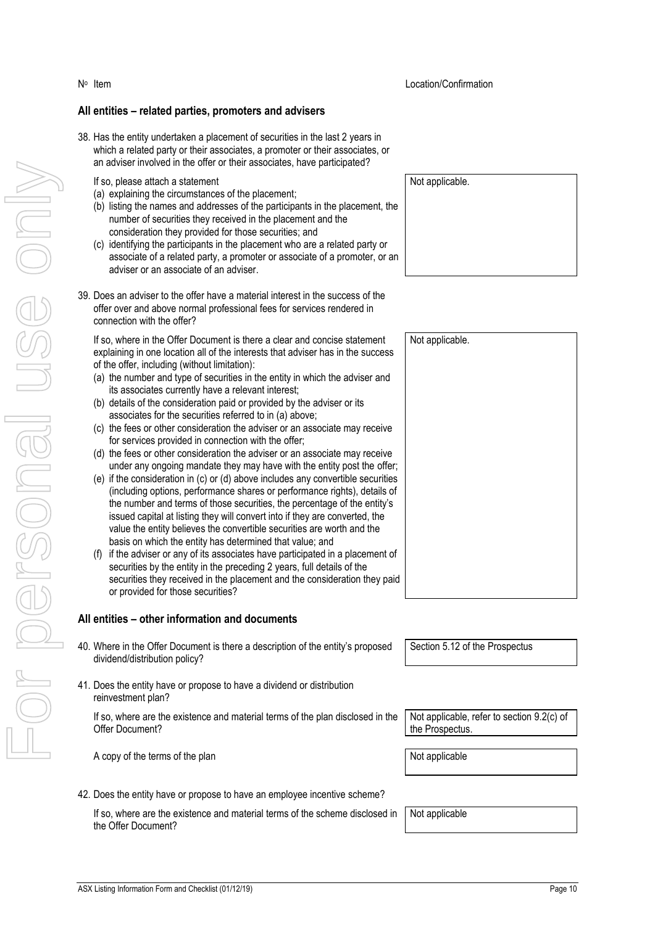#### **All entities – related parties, promoters and advisers**

38. Has the entity undertaken a placement of securities in the last 2 years in which a related party or their associates, a promoter or their associates, or an adviser involved in the offer or their associates, have participated?

#### If so, please attach a statement

N<sup>o</sup> Item

- (a) explaining the circumstances of the placement;
- (b) listing the names and addresses of the participants in the placement, the number of securities they received in the placement and the consideration they provided for those securities; and
- (c) identifying the participants in the placement who are a related party or associate of a related party, a promoter or associate of a promoter, or an adviser or an associate of an adviser.
- 39. Does an adviser to the offer have a material interest in the success of the offer over and above normal professional fees for services rendered in connection with the offer?

If so, where in the Offer Document is there a clear and concise statement explaining in one location all of the interests that adviser has in the success of the offer, including (without limitation):

- (a) the number and type of securities in the entity in which the adviser and its associates currently have a relevant interest;
- (b) details of the consideration paid or provided by the adviser or its associates for the securities referred to in (a) above;
- (c) the fees or other consideration the adviser or an associate may receive for services provided in connection with the offer;
- (d) the fees or other consideration the adviser or an associate may receive under any ongoing mandate they may have with the entity post the offer;
- (e) if the consideration in (c) or (d) above includes any convertible securities (including options, performance shares or performance rights), details of the number and terms of those securities, the percentage of the entity's issued capital at listing they will convert into if they are converted, the value the entity believes the convertible securities are worth and the basis on which the entity has determined that value; and
- (f) if the adviser or any of its associates have participated in a placement of securities by the entity in the preceding 2 years, full details of the securities they received in the placement and the consideration they paid or provided for those securities?

#### **All entities – other information and documents**

- 40. Where in the Offer Document is there a description of the entity's proposed dividend/distribution policy?
- 41. Does the entity have or propose to have a dividend or distribution reinvestment plan?

If so, where are the existence and material terms of the plan disclosed in the Offer Document?

A copy of the terms of the plan Not applicable

42. Does the entity have or propose to have an employee incentive scheme?

If so, where are the existence and material terms of the scheme disclosed in the Offer Document?

Location/Confirmation

Not applicable.

Not applicable.

Section 5.12 of the Prospectus

Not applicable, refer to section 9.2(c) of the Prospectus.

Not applicable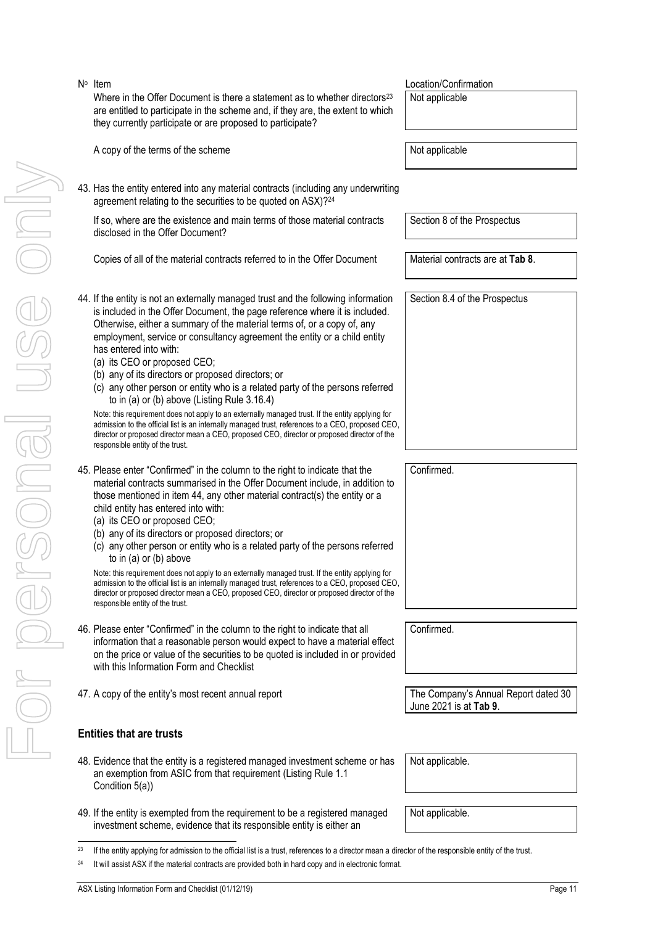- For personal use only JSG ON
- N<sup>o</sup> Item Where in the Offer Document is there a statement as to whether directors<sup>23</sup> are entitled to participate in the scheme and, if they are, the extent to which they currently participate or are proposed to participate?
	- A copy of the terms of the scheme  $\vert$  Not applicable
	- 43. Has the entity entered into any material contracts (including any underwriting agreement relating to the securities to be quoted on ASX)? 24

If so, where are the existence and main terms of those material contracts disclosed in the Offer Document?

Copies of all of the material contracts referred to in the Offer Document Material contracts are at **Tab 8**.

- <span id="page-10-0"></span>44. If the entity is not an externally managed trust and the following information is included in the Offer Document, the page reference where it is included. Otherwise, either a summary of the material terms of, or a copy of, any employment, service or consultancy agreement the entity or a child entity has entered into with:
	- (a) its CEO or proposed CEO;
	- (b) any of its directors or proposed directors; or
	- (c) any other person or entity who is a related party of the persons referred to in (a) or (b) above (Listing Rule 3.16.4)

| Note: this requirement does not apply to an externally managed trust. If the entity applying for<br>admission to the official list is an internally managed trust, references to a CEO, proposed CEO, |
|-------------------------------------------------------------------------------------------------------------------------------------------------------------------------------------------------------|
| director or proposed director mean a CEO, proposed CEO, director or proposed director of the                                                                                                          |
| responsible entity of the trust.                                                                                                                                                                      |

- 45. Please enter "Confirmed" in the column to the right to indicate that the material contracts summarised in the Offer Document include, in addition to those mentioned in item [44,](#page-10-0) any other material contract(s) the entity or a child entity has entered into with:
	- (a) its CEO or proposed CEO;
	- (b) any of its directors or proposed directors; or
	- (c) any other person or entity who is a related party of the persons referred to in (a) or (b) above

Note: this requirement does not apply to an externally managed trust. If the entity applying for admission to the official list is an internally managed trust, references to a CEO, proposed CEO, director or proposed director mean a CEO, proposed CEO, director or proposed director of the responsible entity of the trust.

- 46. Please enter "Confirmed" in the column to the right to indicate that all information that a reasonable person would expect to have a material effect on the price or value of the securities to be quoted is included in or provided with this Information Form and Checklist
- 47. A copy of the entity's most recent annual report The Company's Annual Report dated 30

# **Entities that are trusts**

- 48. Evidence that the entity is a registered managed investment scheme or has an exemption from ASIC from that requirement (Listing Rule 1.1
- 49. If the entity is exempted from the requirement to be a registered managed investment scheme, evidence that its responsible entity is either an

Location/Confirmation Not applicable

Section 8 of the Prospectus

Section 8.4 of the Prospectus

Confirmed.

Confirmed.

June 2021 is at **Tab 9**.

Not applicable.

Not applicable.

<sup>23</sup> If the entity applying for admission to the official list is a trust, references to a director mean a director of the responsible entity of the trust.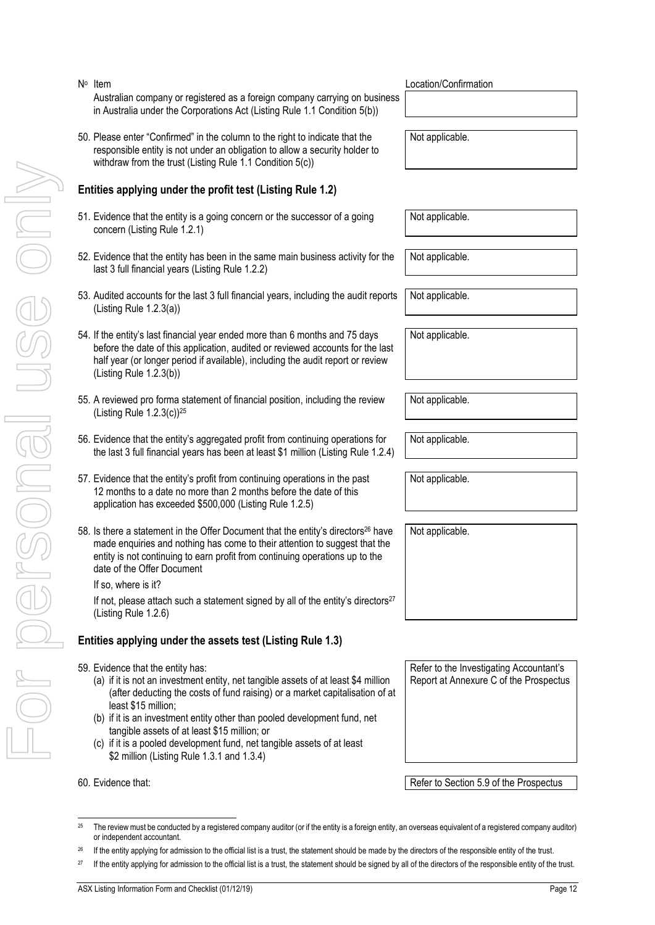- Extilene applying under the profit test is the entity and the statement should be statement should be statement should be statement should be signed by all of the statement should be signed by all of the statement should
- N<sup>o</sup> Item Australian company or registered as a foreign company carrying on business in Australia under the Corporations Act (Listing Rule 1.1 Condition 5(b))
- 50. Please enter "Confirmed" in the column to the right to indicate that the responsible entity is not under an obligation to allow a security holder to withdraw from the trust (Listing Rule 1.1 Condition 5(c))

# **Entities applying under the profit test (Listing Rule 1.2)**

- 51. Evidence that the entity is a going concern or the successor of a going concern (Listing Rule 1.2.1)
- 52. Evidence that the entity has been in the same main business activity for the last 3 full financial years (Listing Rule 1.2.2)
- 53. Audited accounts for the last 3 full financial years, including the audit reports (Listing Rule 1.2.3(a))
- 54. If the entity's last financial year ended more than 6 months and 75 days before the date of this application, audited or reviewed accounts for the last half year (or longer period if available), including the audit report or review (Listing Rule 1.2.3(b))
- 55. A reviewed pro forma statement of financial position, including the review (Listing Rule 1.2.3(c))<sup>25</sup>
- 56. Evidence that the entity's aggregated profit from continuing operations for the last 3 full financial years has been at least \$1 million (Listing Rule 1.2.4)
- 57. Evidence that the entity's profit from continuing operations in the past 12 months to a date no more than 2 months before the date of this application has exceeded \$500,000 (Listing Rule 1.2.5)
- 58. Is there a statement in the Offer Document that the entity's directors<sup>26</sup> have made enquiries and nothing has come to their attention to suggest that the entity is not continuing to earn profit from continuing operations up to the date of the Offer Document

If so, where is it?

If not, please attach such a statement signed by all of the entity's directors<sup>27</sup> (Listing Rule 1.2.6)

# **Entities applying under the assets test (Listing Rule 1.3)**

- 59. Evidence that the entity has:
	- (a) if it is not an investment entity, net tangible assets of at least \$4 million (after deducting the costs of fund raising) or a market capitalisation of at least \$15 million;
	- (b) if it is an investment entity other than pooled development fund, net tangible assets of at least \$15 million; or
	- (c) if it is a pooled development fund, net tangible assets of at least \$2 million (Listing Rule 1.3.1 and 1.3.4)

60. Evidence that: **Refer to Section 5.9 of the Prospectus** Refer to Section 5.9 of the Prospectus

Location/Confirmation

Not applicable.

Not applicable.

Not applicable.

Not applicable.

Not applicable.

Not applicable.

Not applicable.

Not applicable.

Not applicable.

Report at Annexure C of the Prospectus

Refer to the Investigating Accountant's

<sup>&</sup>lt;sup>25</sup> The review must be conducted by a registered company auditor (or if the entity is a foreign entity, an overseas equivalent of a registered company auditor) or independent accountant.

<sup>&</sup>lt;sup>26</sup> If the entity applying for admission to the official list is a trust, the statement should be made by the directors of the responsible entity of the trust.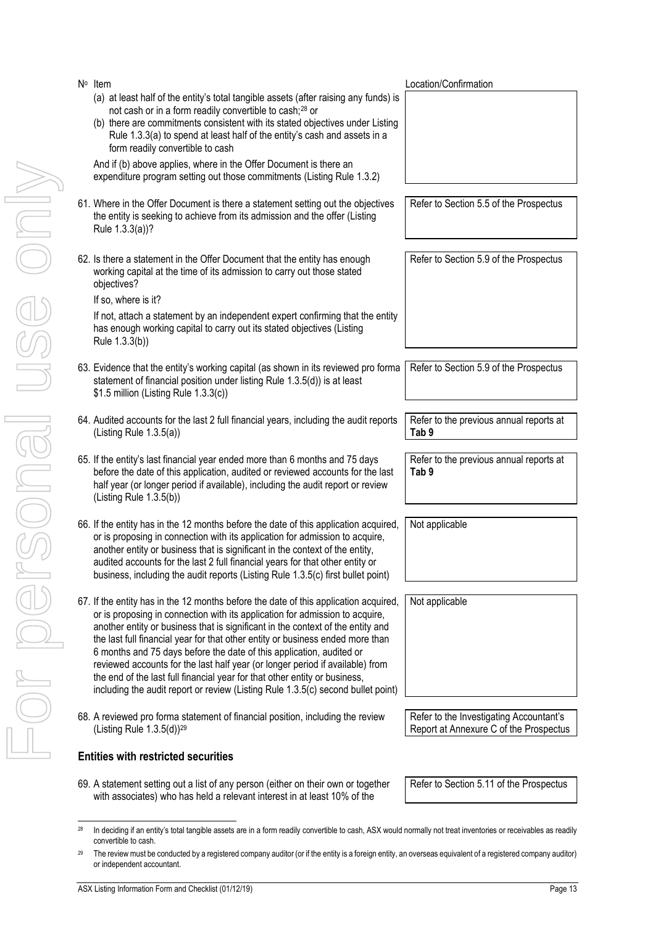| N <sup>o</sup> Item<br>(a) at least half of the entity's total tangible assets (after raising any funds) is<br>not cash or in a form readily convertible to cash; <sup>28</sup> or<br>(b) there are commitments consistent with its stated objectives under Listing<br>Rule 1.3.3(a) to spend at least half of the entity's cash and assets in a<br>form readily convertible to cash                                                                                                                                                                                                                                                                                 | Location/Confirmation                                                             |
|----------------------------------------------------------------------------------------------------------------------------------------------------------------------------------------------------------------------------------------------------------------------------------------------------------------------------------------------------------------------------------------------------------------------------------------------------------------------------------------------------------------------------------------------------------------------------------------------------------------------------------------------------------------------|-----------------------------------------------------------------------------------|
| And if (b) above applies, where in the Offer Document is there an<br>expenditure program setting out those commitments (Listing Rule 1.3.2)                                                                                                                                                                                                                                                                                                                                                                                                                                                                                                                          |                                                                                   |
| 61. Where in the Offer Document is there a statement setting out the objectives<br>the entity is seeking to achieve from its admission and the offer (Listing<br>Rule 1.3.3(a))?                                                                                                                                                                                                                                                                                                                                                                                                                                                                                     | Refer to Section 5.5 of the Prospectus                                            |
| 62. Is there a statement in the Offer Document that the entity has enough<br>working capital at the time of its admission to carry out those stated<br>objectives?<br>If so, where is it?                                                                                                                                                                                                                                                                                                                                                                                                                                                                            | Refer to Section 5.9 of the Prospectus                                            |
| If not, attach a statement by an independent expert confirming that the entity<br>has enough working capital to carry out its stated objectives (Listing<br>Rule 1.3.3(b))                                                                                                                                                                                                                                                                                                                                                                                                                                                                                           |                                                                                   |
| 63. Evidence that the entity's working capital (as shown in its reviewed pro forma<br>statement of financial position under listing Rule 1.3.5(d)) is at least<br>\$1.5 million (Listing Rule 1.3.3(c))                                                                                                                                                                                                                                                                                                                                                                                                                                                              | Refer to Section 5.9 of the Prospectus                                            |
| 64. Audited accounts for the last 2 full financial years, including the audit reports<br>(Listing Rule $1.3.5(a)$ )                                                                                                                                                                                                                                                                                                                                                                                                                                                                                                                                                  | Refer to the previous annual reports at<br>Tab <sub>9</sub>                       |
| 65. If the entity's last financial year ended more than 6 months and 75 days<br>before the date of this application, audited or reviewed accounts for the last<br>half year (or longer period if available), including the audit report or review<br>(Listing Rule $1.3.5(b)$ )                                                                                                                                                                                                                                                                                                                                                                                      | Refer to the previous annual reports at<br>Tab <sub>9</sub>                       |
| 66. If the entity has in the 12 months before the date of this application acquired,<br>or is proposing in connection with its application for admission to acquire,<br>another entity or business that is significant in the context of the entity,<br>audited accounts for the last 2 full financial years for that other entity or<br>business, including the audit reports (Listing Rule 1.3.5(c) first bullet point)                                                                                                                                                                                                                                            | Not applicable                                                                    |
| 67. If the entity has in the 12 months before the date of this application acquired,<br>or is proposing in connection with its application for admission to acquire,<br>another entity or business that is significant in the context of the entity and<br>the last full financial year for that other entity or business ended more than<br>6 months and 75 days before the date of this application, audited or<br>reviewed accounts for the last half year (or longer period if available) from<br>the end of the last full financial year for that other entity or business,<br>including the audit report or review (Listing Rule 1.3.5(c) second bullet point) | Not applicable                                                                    |
| 68. A reviewed pro forma statement of financial position, including the review<br>(Listing Rule 1.3.5(d)) <sup>29</sup>                                                                                                                                                                                                                                                                                                                                                                                                                                                                                                                                              | Refer to the Investigating Accountant's<br>Report at Annexure C of the Prospectus |

# **Entities with restricted securities**

69. A statement setting out a list of any person (either on their own or together with associates) who has held a relevant interest in at least 10% of the

Refer to Section 5.11 of the Prospectus

<sup>&</sup>lt;sup>28</sup> In deciding if an entity's total tangible assets are in a form readily convertible to cash, ASX would normally not treat inventories or receivables as readily convertible to cash.

<sup>&</sup>lt;sup>29</sup> The review must be conducted by a registered company auditor (or if the entity is a foreign entity, an overseas equivalent of a registered company auditor) or independent accountant.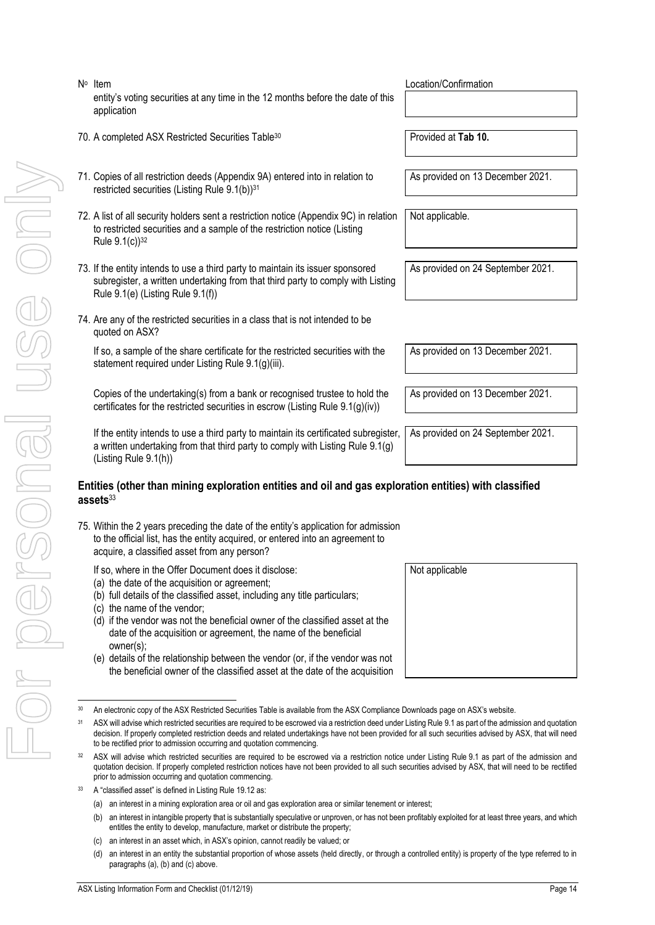- For personal use only MIUO PORSONAI USS ON
- N<sup>o</sup> Item entity's voting securities at any time in the 12 months before the date of this application
- 70. A completed ASX Restricted Securities Table<sup>30</sup> Provided at **Tab 10.**
- <span id="page-13-0"></span>71. Copies of all restriction deeds (Appendix 9A) entered into in relation to restricted securities (Listing Rule 9.1(b))<sup>31</sup>
- <span id="page-13-1"></span>72. A list of all security holders sent a restriction notice (Appendix 9C) in relation to restricted securities and a sample of the restriction notice (Listing Rule  $9.1(c)$ <sup>32</sup>
- 73. If the entity intends to use a third party to maintain its issuer sponsored subregister, a written undertaking from that third party to comply with Listing Rule 9.1(e) (Listing Rule 9.1(f))
- 74. Are any of the restricted securities in a class that is not intended to be quoted on ASX?

If so, a sample of the share certificate for the restricted securities with the statement required under Listing Rule 9.1(g)(iii).

Copies of the undertaking(s) from a bank or recognised trustee to hold the certificates for the restricted securities in escrow (Listing Rule 9.1(g)(iv))

If the entity intends to use a third party to maintain its certificated subregister, a written undertaking from that third party to comply with Listing Rule 9.1(g) (Listing Rule 9.1(h))

### **Entities (other than mining exploration entities and oil and gas exploration entities) with classified assets**<sup>33</sup>

- 75. Within the 2 years preceding the date of the entity's application for admission to the official list, has the entity acquired, or entered into an agreement to acquire, a classified asset from any person?
	- If so, where in the Offer Document does it disclose:
	- (a) the date of the acquisition or agreement;
	- (b) full details of the classified asset, including any title particulars;
	- (c) the name of the vendor;
	- (d) if the vendor was not the beneficial owner of the classified asset at the date of the acquisition or agreement, the name of the beneficial owner(s);
	- (e) details of the relationship between the vendor (or, if the vendor was not the beneficial owner of the classified asset at the date of the acquisition

- ASX will advise which restricted securities are required to be escrowed via a restriction notice under Listing Rule 9.1 as part of the admission and quotation decision. If properly completed restriction notices have not been provided to all such securities advised by ASX, that will need to be rectified prior to admission occurring and quotation commencing.
- A "classified asset" is defined in Listing Rule 19.12 as:
	- (a) an interest in a mining exploration area or oil and gas exploration area or similar tenement or interest;
	- (b) an interest in intangible property that is substantially speculative or unproven, or has not been profitably exploited for at least three years, and which entitles the entity to develop, manufacture, market or distribute the property;
	- (c) an interest in an asset which, in ASX's opinion, cannot readily be valued; or
	- (d) an interest in an entity the substantial proportion of whose assets (held directly, or through a controlled entity) is property of the type referred to in paragraphs (a), (b) and (c) above.

Not applicable

Location/Confirmation

As provided on 13 December 2021.

Not applicable.

As provided on 24 September 2021.

As provided on 13 December 2021.

As provided on 13 December 2021.

As provided on 24 September 2021.

<sup>30</sup> An electronic copy of the ASX Restricted Securities Table is available from the ASX Compliance Downloads page on ASX's website.

<sup>&</sup>lt;sup>31</sup> ASX will advise which restricted securities are required to be escrowed via a restriction deed under Listing Rule 9.1 as part of the admission and quotation decision. If properly completed restriction deeds and related undertakings have not been provided for all such securities advised by ASX, that will need to be rectified prior to admission occurring and quotation commencing.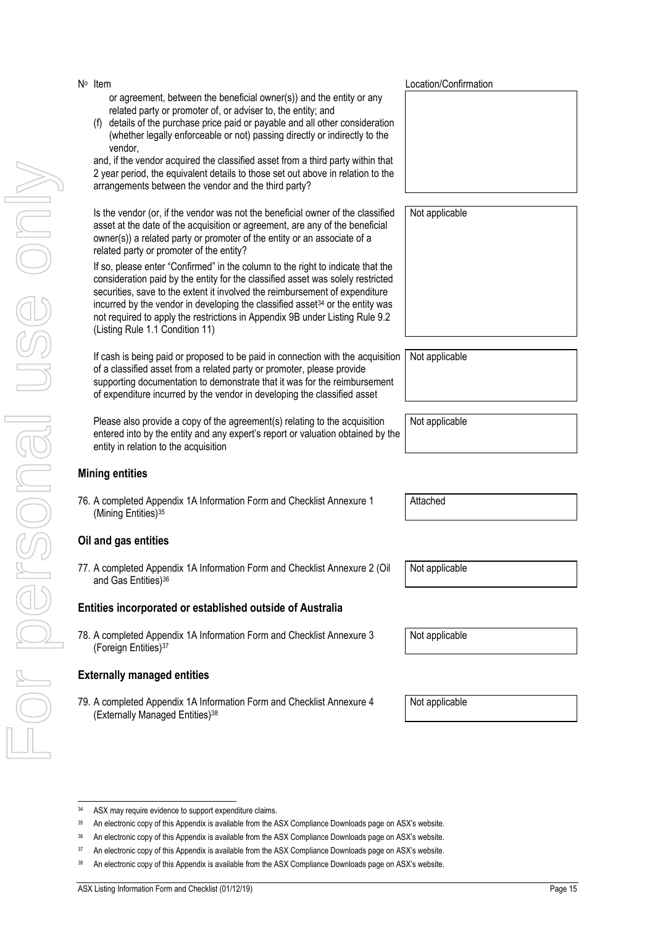34 ASX may require evidence to support expenditure claims.

For personal use only r personal use onny

N<sup>o</sup> Item or agreement, between the beneficial owner(s)) and the entity or any related party or promoter of, or adviser to, the entity; and

(f) details of the purchase price paid or payable and all other consideration (whether legally enforceable or not) passing directly or indirectly to the vendor,

and, if the vendor acquired the classified asset from a third party within that 2 year period, the equivalent details to those set out above in relation to the arrangements between the vendor and the third party?

Is the vendor (or, if the vendor was not the beneficial owner of the classified asset at the date of the acquisition or agreement, are any of the beneficial owner(s)) a related party or promoter of the entity or an associate of a related party or promoter of the entity?

If so, please enter "Confirmed" in the column to the right to indicate that the consideration paid by the entity for the classified asset was solely restricted securities, save to the extent it involved the reimbursement of expenditure incurred by the vendor in developing the classified asset<sup>34</sup> or the entity was not required to apply the restrictions in Appendix 9B under Listing Rule 9.2 (Listing Rule 1.1 Condition 11)

If cash is being paid or proposed to be paid in connection with the acquisition of a classified asset from a related party or promoter, please provide supporting documentation to demonstrate that it was for the reimbursement of expenditure incurred by the vendor in developing the classified asset

Please also provide a copy of the agreement(s) relating to the acquisition entered into by the entity and any expert's report or valuation obtained by the entity in relation to the acquisition

# **Mining entities**

76. A completed Appendix 1A Information Form and Checklist Annexure 1 (Mining Entities)<sup>35</sup>

# **Oil and gas entities**

77. A completed Appendix 1A Information Form and Checklist Annexure 2 (Oil and Gas Entities)<sup>36</sup>

# **Entities incorporated or established outside of Australia**

78. A completed Appendix 1A Information Form and Checklist Annexure 3 (Foreign Entities)<sup>37</sup>

# **Externally managed entities**

79. A completed Appendix 1A Information Form and Checklist Annexure 4 (Externally Managed Entities)<sup>38</sup>

Location/Confirmation

Not applicable

Not applicable

Not applicable

Attached

Not applicable

Not applicable

Not applicable